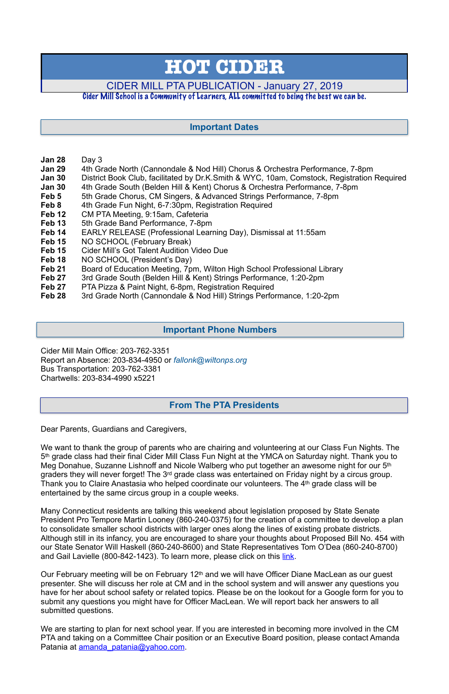- **Jan 28** Day 3
- **Jan 29** 4th Grade North (Cannondale & Nod Hill) Chorus & Orchestra Performance, 7-8pm
- **Jan 30** District Book Club, facilitated by Dr.K.Smith & WYC, 10am, Comstock, Registration Required
- **Jan 30** 4th Grade South (Belden Hill & Kent) Chorus & Orchestra Performance, 7-8pm
- **Feb 5** 5th Grade Chorus, CM Singers, & Advanced Strings Performance, 7-8pm
- **Feb 8** 4th Grade Fun Night, 6-7:30pm, Registration Required
- **Feb 12** CM PTA Meeting, 9:15am, Cafeteria
- **Feb 13** 5th Grade Band Performance, 7-8pm
- **Feb 14** EARLY RELEASE (Professional Learning Day), Dismissal at 11:55am
- Feb 15 NO SCHOOL (February Break)
- **Feb 15** Cider Mill's Got Talent Audition Video Due
- Feb 18 NO SCHOOL (President's Day)
- **Feb 21** Board of Education Meeting, 7pm, Wilton High School Professional Library
- **Feb 27** 3rd Grade South (Belden Hill & Kent) Strings Performance, 1:20-2pm
- **Feb 27** PTA Pizza & Paint Night, 6-8pm, Registration Required
- **Feb 28** 3rd Grade North (Cannondale & Nod Hill) Strings Performance, 1:20-2pm

Many Connecticut residents are talking this weekend about legislation proposed by State Senate President Pro Tempore Martin Looney (860-240-0375) for the creation of a committee to develop a plan to consolidate smaller school districts with larger ones along the lines of existing probate districts. Although still in its infancy, you are encouraged to share your thoughts about Proposed Bill No. 454 with our State Senator Will Haskell (860-240-8600) and State Representatives Tom O'Dea (860-240-8700) and Gail Lavielle (800-842-1423). To learn more, please click on this [link](https://goodmorningwilton.com/bill-that-would-consolidate-wilton-norwalk-school-districts-proposed-in-hartford/).

Cider Mill Main Office: 203-762-3351 Report an Absence: 203-834-4950 or *[fallonk@wiltonps.org](mailto:fallonk@wiltonps.org)* Bus Transportation: 203-762-3381 Chartwells: 203-834-4990 x5221

Dear Parents, Guardians and Caregivers,

Our February meeting will be on February 12<sup>th</sup> and we will have Officer Diane MacLean as our guest presenter. She will discuss her role at CM and in the school system and will answer any questions you have for her about school safety or related topics. Please be on the lookout for a Google form for you to submit any questions you might have for Officer MacLean. We will report back her answers to all submitted questions.

We are starting to plan for next school year. If you are interested in becoming more involved in the CM PTA and taking on a Committee Chair position or an Executive Board position, please contact Amanda Patania at amanda patania@yahoo.com.

We want to thank the group of parents who are chairing and volunteering at our Class Fun Nights. The 5th grade class had their final Cider Mill Class Fun Night at the YMCA on Saturday night. Thank you to Meg Donahue, Suzanne Lishnoff and Nicole Walberg who put together an awesome night for our 5th graders they will never forget! The 3<sup>rd</sup> grade class was entertained on Friday night by a circus group. Thank you to Claire Anastasia who helped coordinate our volunteers. The 4<sup>th</sup> grade class will be entertained by the same circus group in a couple weeks.

# **HOT CIDER**

# CIDER MILL PTA PUBLICATION - January 27, 2019

#### Cider Mill School is a Community of Learners, ALL committed to being the best we can be.

### **From The PTA Presidents**

# **Important Dates**

#### **Important Phone Numbers**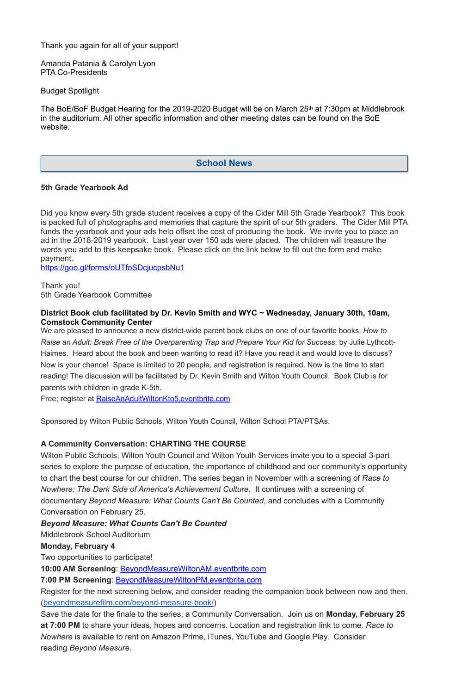Thank you again for all of your support!

Amanda Patania & Carolyn Lyon PTA Co-Presidents

Budget Spotlight

The BoE/BoF Budget Hearing for the 2019-2020 Budget will be on March 25<sup>th</sup> at 7:30pm at Middlebrook in the auditorium. All other specific information and other meeting dates can be found on the BoE website.

#### **5th Grade Yearbook Ad**

Did you know every 5th grade student receives a copy of the Cider Mill 5th Grade Yearbook? This book is packed full of photographs and memories that capture the spirit of our 5th graders. The Cider Mill PTA funds the yearbook and your ads help offset the cost of producing the book. We invite you to place an ad in the 2018-2019 yearbook. Last year over 150 ads were placed. The children will treasure the words you add to this keepsake book. Please click on the link below to fill out the form and make payment.

<https://goo.gl/forms/oUTfoSDcjucpsbNu1>

Thank you! 5th Grade Yearbook Committee

#### **District Book club facilitated by Dr. Kevin Smith and WYC ~ Wednesday, January 30th, 10am, Comstock Community Center**

We are pleased to announce a new district-wide parent book clubs on one of our favorite books, *How to Raise an Adult: Break Free of the Overparenting Trap and Prepare Your Kid for Success*, by Julie Lythcott-Haimes. Heard about the book and been wanting to read it? Have you read it and would love to discuss? Now is your chance! Space is limited to 20 people, and registration is required. Now is the time to start reading! The discussion will be facilitated by Dr. Kevin Smith and Wilton Youth Council. Book Club is for parents with children in grade K-5th.

Free; register at [RaiseAnAdultWiltonKto5.eventbrite.com](http://raiseanadultwiltonkto5.eventbrite.com/)

Sponsored by Wilton Public Schools, Wilton Youth Council, Wilton School PTA/PTSAs.

#### **A Community Conversation: CHARTING THE COURSE**

Wilton Public Schools, Wilton Youth Council and Wilton Youth Services invite you to a special 3-part series to explore the purpose of education, the importance of childhood and our community's opportunity to chart the best course for our children. The series began in November with a screening of *Race to Nowhere: The Dark Side of America's Achievement Culture*. It continues with a screening of documentary *Beyond Measure: What Counts Can't Be Counted*, and concludes with a Community

Conversation on February 25.

*Beyond Measure: What Counts Can't Be Counted*

Middlebrook School Auditorium

**Monday, February 4**

Two opportunities to participate!

**10:00 AM Screening**: [BeyondMeasureWiltonAM.eventbrite.com](http://beyondmeasurewiltonam.eventbrite.com/)

**7:00 PM Screening**: [BeyondMeasureWiltonPM.eventbrite.com](http://beyondmeasurewiltonpm.eventbrite.com/)

Register for the next screening below, and consider reading the companion book between now and then. ([beyondmeasurefilm.com/beyond-measure-book/](http://beyondmeasurefilm.com/beyond-measure-book/))

Save the date for the finale to the series, a Community Conversation. Join us on **Monday, February 25 at 7:00 PM** to share your ideas, hopes and concerns. Location and registration link to come. *Race to Nowhere* is available to rent on Amazon Prime, iTunes, YouTube and Google Play. Consider reading *Beyond Measure*.

#### **School News**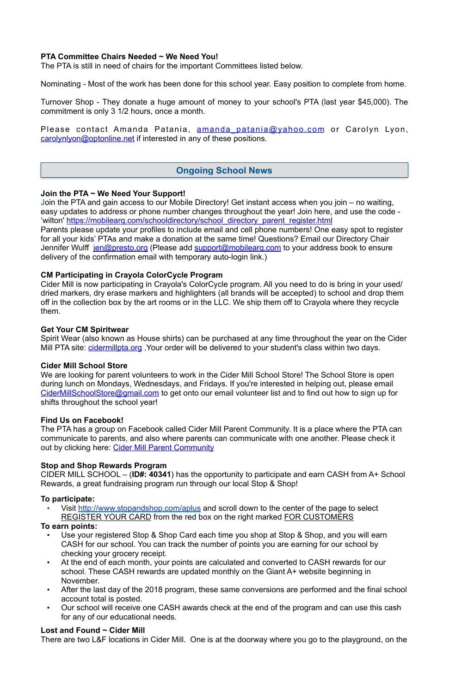#### **PTA Committee Chairs Needed ~ We Need You!**

The PTA is still in need of chairs for the important Committees listed below.

Nominating - Most of the work has been done for this school year. Easy position to complete from home.

Turnover Shop - They donate a huge amount of money to your school's PTA (last year \$45,000). The commitment is only 3 1/2 hours, once a month.

Please contact Amanda Patania, amanda patania@yahoo.com or Carolyn Lyon, [carolynlyon@optonline.net](mailto:carolynlyon@optonline.net) if interested in any of these positions.

#### **Join the PTA ~ We Need Your Support!**

Spirit Wear (also known as House shirts) can be purchased at any time throughout the year on the Cider Mill PTA site: cidermillpta.org, Your order will be delivered to your student's class within two days.

Join the PTA and gain access to our Mobile Directory! Get instant access when you join – no waiting, easy updates to address or phone number changes throughout the year! Join here, and use the code - 'wilton' [https://mobilearq.com/schooldirectory/school\\_directory\\_parent\\_register.html](https://mobilearq.com/schooldirectory/school_directory_parent_register.html)  Parents please update your profiles to include email and cell phone numbers! One easy spot to register for all your kids' PTAs and make a donation at the same time! Questions? Email our Directory Chair Jennifer Wulff [jen@presto.org](mailto:jen@presto.org) (Please add support@mobilearg.com to your address book to ensure delivery of the confirmation email with temporary auto-login link.)

The PTA has a group on Facebook called Cider Mill Parent Community. It is a place where the PTA can communicate to parents, and also where parents can communicate with one another. Please check it out by clicking here: [Cider Mill Parent Community](https://www.facebook.com/groups/1168962513117647/)

# **CM Participating in Crayola ColorCycle Program**

Cider Mill is now participating in Crayola's ColorCycle program. All you need to do is bring in your used/ dried markers, dry erase markers and highlighters (all brands will be accepted) to school and drop them off in the collection box by the art rooms or in the LLC. We ship them off to Crayola where they recycle them.

#### **Get Your CM Spiritwear**

- Visit <http://www.stopandshop.com/aplus> and scroll down to the center of the page to select
- REGISTER YOUR CARD from the red box on the right marked FOR CUSTOMERS **To earn points:**
	- Use your registered Stop & Shop Card each time you shop at Stop & Shop, and you will earn CASH for our school. You can track the number of points you are earning for our school by checking your grocery receipt.
	- At the end of each month, your points are calculated and converted to CASH rewards for our school. These CASH rewards are updated monthly on the Giant A+ website beginning in November.
	- After the last day of the 2018 program, these same conversions are performed and the final school account total is posted.
	- Our school will receive one CASH awards check at the end of the program and can use this cash for any of our educational needs.

#### **Cider Mill School Store**

We are looking for parent volunteers to work in the Cider Mill School Store! The School Store is open during lunch on Mondays, Wednesdays, and Fridays. If you're interested in helping out, please email [CiderMillSchoolStore@gmail.com](mailto:CiderMillSchoolStore@gmail.com) to get onto our email volunteer list and to find out how to sign up for shifts throughout the school year!

#### **Find Us on Facebook!**

#### **Stop and Shop Rewards Program**

CIDER MILL SCHOOL – (**ID#: 40341**) has the opportunity to participate and earn CASH from A+ School Rewards, a great fundraising program run through our local Stop & Shop!

#### **To participate:**

#### **Lost and Found ~ Cider Mill**

There are two L&F locations in Cider Mill. One is at the doorway where you go to the playground, on the

#### **Ongoing School News**